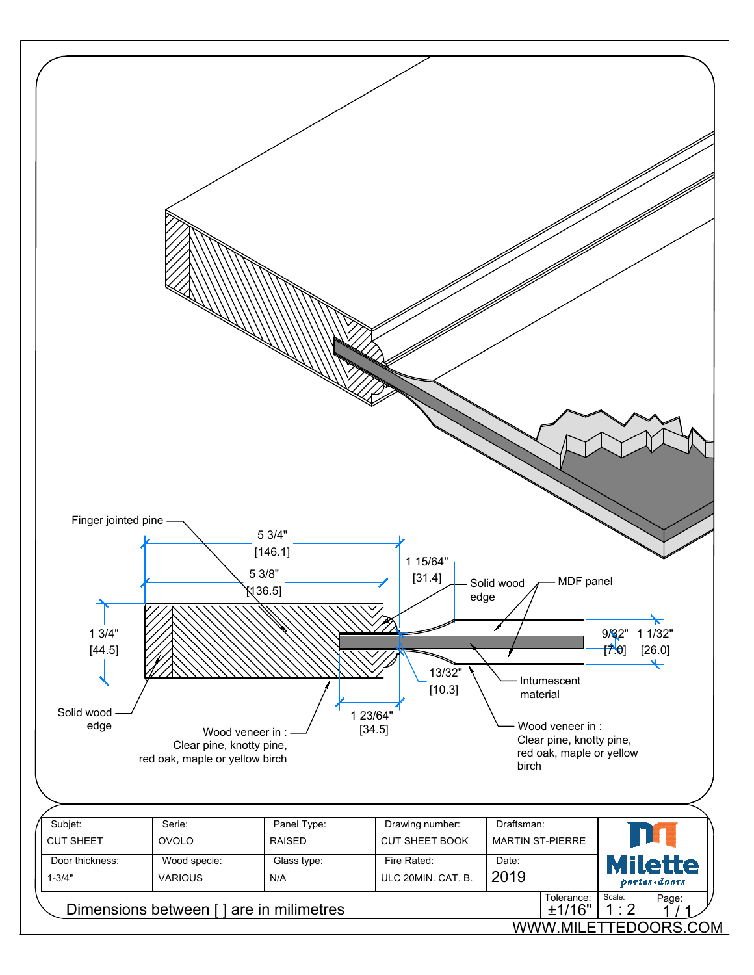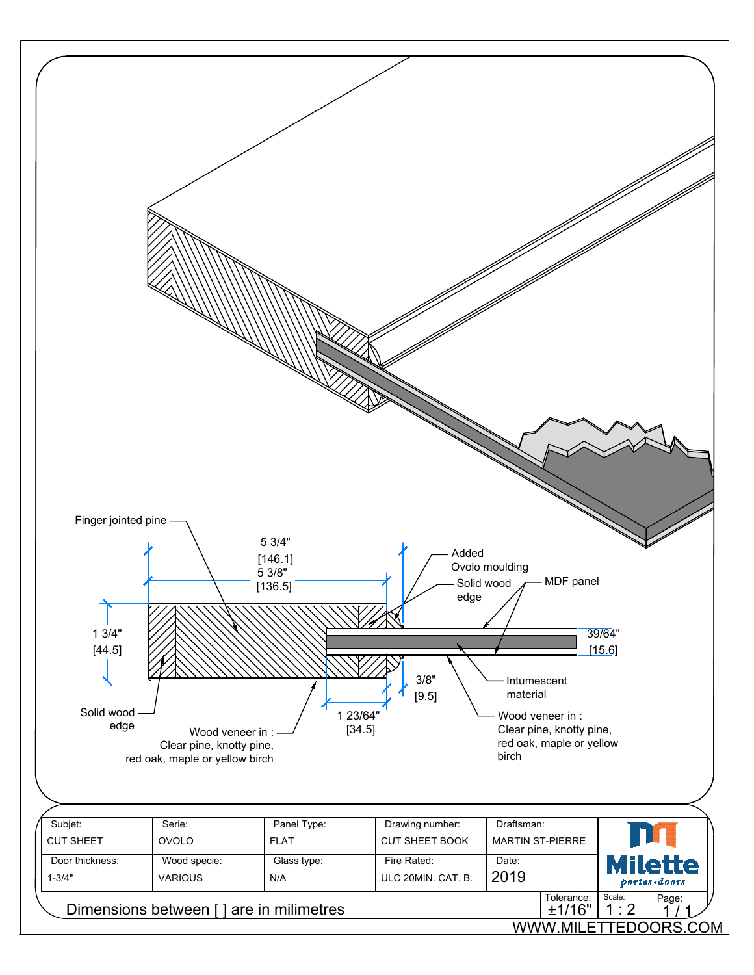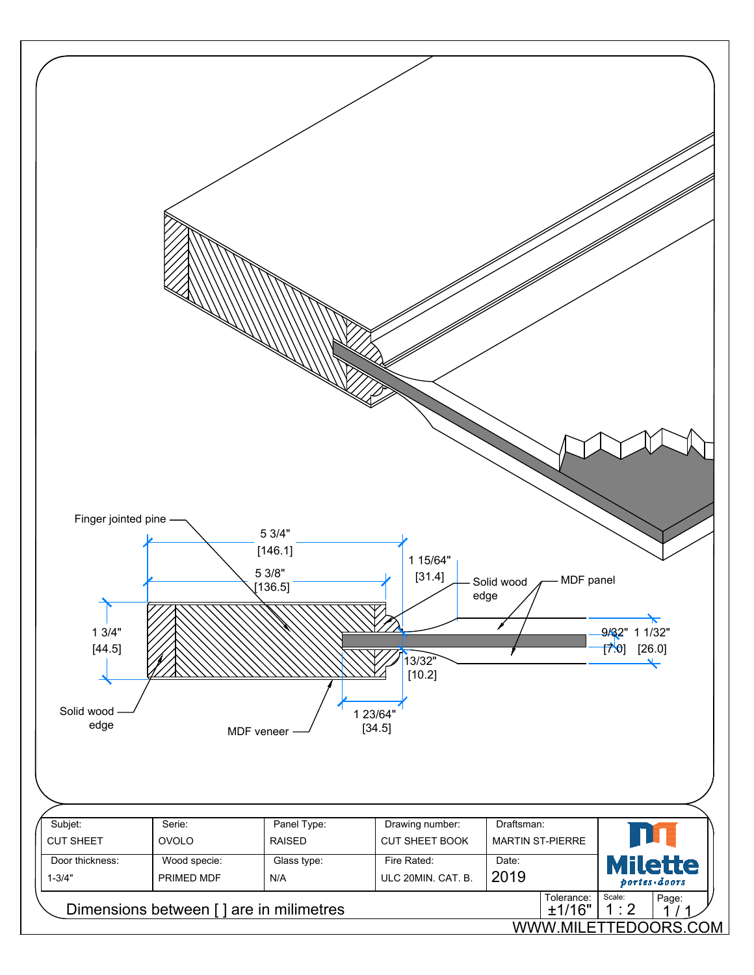